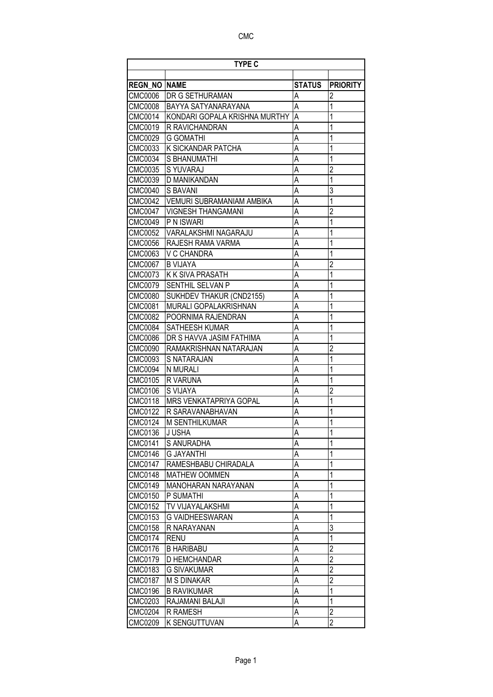| <b>TYPE C</b>  |                               |                |                 |
|----------------|-------------------------------|----------------|-----------------|
|                |                               |                |                 |
| <b>REGN NO</b> | <b>NAME</b>                   | <b>STATUS</b>  | <b>PRIORITY</b> |
| <b>CMC0006</b> | DR G SETHURAMAN               | A              | $\overline{2}$  |
| <b>CMC0008</b> | BAYYA SATYANARAYANA           | A              | 1               |
| CMC0014        | KONDARI GOPALA KRISHNA MURTHY | A              | 1               |
| CMC0019        | R RAVICHANDRAN                | A              | 1               |
| CMC0029        | G GOMATHI                     | A              | 1               |
| CMC0033        | K SICKANDAR PATCHA            | A              | 1               |
| CMC0034        | S BHANUMATHI                  | Ā              | 1               |
| CMC0035        | S YUVARAJ                     | A              | $\overline{c}$  |
| CMC0039        | D MANIKANDAN                  | A              | $\overline{1}$  |
| CMC0040        | S BAVANI                      | A              | 3               |
| CMC0042        | VEMURI SUBRAMANIAM AMBIKA     | Ā              | $\overline{1}$  |
| CMC0047        | <b>VIGNESH THANGAMANI</b>     | A              | $\overline{c}$  |
| CMC0049        | P N ISWARI                    | A              | 1               |
| CMC0052        | VARALAKSHMI NAGARAJU          | A              | 1               |
| <b>CMC0056</b> | RAJESH RAMA VARMA             | A              | 1               |
| CMC0063        | V C CHANDRA                   | A              | 1               |
| CMC0067        | <b>B VIJAYA</b>               | A              | $\overline{2}$  |
| CMC0073        | <b>K K SIVA PRASATH</b>       | A              | 1               |
| CMC0079        | SENTHIL SELVAN P              | A              | 1               |
| CMC0080        | SUKHDEV THAKUR (CND2155)      | A              | 1               |
| CMC0081        | <b>MURALI GOPALAKRISHNAN</b>  | A              | 1               |
| CMC0082        | POORNIMA RAJENDRAN            | A              | 1               |
| <b>CMC0084</b> | <b>SATHEESH KUMAR</b>         | A              | 1               |
| CMC0086        | DR S HAVVA JASIM FATHIMA      | A              | 1               |
| <b>CMC0090</b> | RAMAKRISHNAN NATARAJAN        | A              | $\overline{2}$  |
| CMC0093        | S NATARAJAN                   | A              | 1               |
| CMC0094        | N MURALI                      | A              | 1               |
| CMC0105        | R VARUNA                      | A              | 1               |
| <b>CMC0106</b> | S VIJAYA                      | A              | $\overline{c}$  |
| CMC0118        | <b>MRS VENKATAPRIYA GOPAL</b> | A              | 1               |
| <b>CMC0122</b> | R SARAVANABHAVAN              | A              | 1               |
| <b>CMC0124</b> | M SENTHILKUMAR                | A              | 1               |
| CMC0136        | J USHA                        | Α              | 1               |
| <b>CMC0141</b> | S ANURADHA                    | $\overline{A}$ | $\mathbf{1}$    |
| <b>CMC0146</b> | <b>G JAYANTHI</b>             | A              | 1               |
| <b>CMC0147</b> | RAMESHBABU CHIRADALA          | $\overline{A}$ | $\mathbf{1}$    |
| <b>CMC0148</b> | <b>MATHEW OOMMEN</b>          | A              | 1               |
| CMC0149        | <b>MANOHARAN NARAYANAN</b>    | A              | 1               |
| <b>CMC0150</b> | P SUMATHI                     | A              | 1               |
| <b>CMC0152</b> | TV VIJAYALAKSHMI              | A              | 1               |
| CMC0153        | G VAIDHEESWARAN               | A              | 1               |
| <b>CMC0158</b> | R NARAYANAN                   | A              | 3               |
| <b>CMC0174</b> | <b>RENU</b>                   | A              | 1               |
| <b>CMC0176</b> | <b>B HARIBABU</b>             | A              | $\overline{2}$  |
| CMC0179        | D HEMCHANDAR                  | A              | $\overline{2}$  |
| CMC0183        | G SIVAKUMAR                   | Α              | $\overline{2}$  |
| <b>CMC0187</b> | <b>M S DINAKAR</b>            | A              | $\overline{c}$  |
| <b>CMC0196</b> | <b>B RAVIKUMAR</b>            | A              | 1               |
| <b>CMC0203</b> | RAJAMANI BALAJI               | A              | $\mathbf{1}$    |
| <b>CMC0204</b> | R RAMESH                      | Α              | $\overline{2}$  |
| CMC0209        | K SENGUTTUVAN                 | A              | $\overline{2}$  |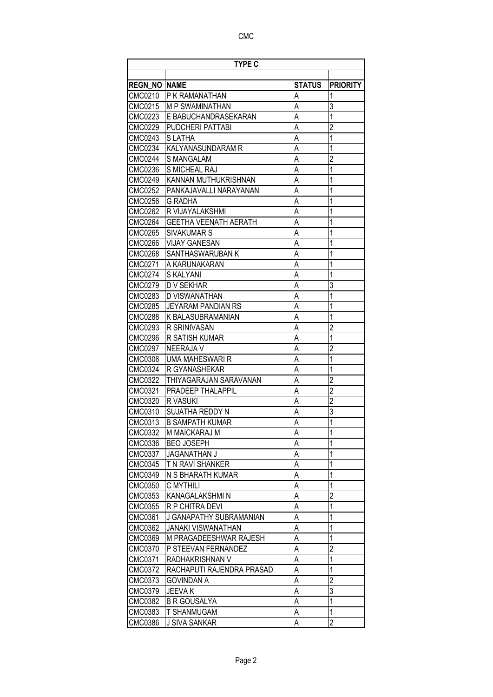| <b>TYPE C</b>       |                              |               |                 |
|---------------------|------------------------------|---------------|-----------------|
|                     |                              |               |                 |
| <b>REGN NO NAME</b> |                              | <b>STATUS</b> | <b>PRIORITY</b> |
| CMC0210             | P K RAMANATHAN               | Α             | 1               |
| CMC0215             | <b>M P SWAMINATHAN</b>       | A             | 3               |
| CMC0223             | E BABUCHANDRASEKARAN         | A             | 1               |
| CMC0229             | PUDCHERI PATTABI             | A             | $\overline{2}$  |
| CMC0243             | <b>SLATHA</b>                | A             | 1               |
| CMC0234             | KALYANASUNDARAM R            | A             | 1               |
| <b>CMC0244</b>      | <b>S MANGALAM</b>            | A             | $\overline{2}$  |
| CMC0236             | <b>S MICHEAL RAJ</b>         | A             | 1               |
| CMC0249             | KANNAN MUTHUKRISHNAN         | A             | 1               |
| CMC0252             | PANKAJAVALLI NARAYANAN       | A             | 1               |
| CMC0256             | <b>G RADHA</b>               | A             | 1               |
| <b>CMC0262</b>      | R VIJAYALAKSHMI              | A             | 1               |
| <b>CMC0264</b>      | <b>GEETHA VEENATH AERATH</b> | A             | 1               |
| CMC0265             | <b>SIVAKUMAR S</b>           | A             | 1               |
| <b>CMC0266</b>      | <b>VIJAY GANESAN</b>         | A             | 1               |
| CMC0268             | SANTHASWARUBAN K             | A             | 1               |
| CMC0271             | A KARUNAKARAN                | A             | 1               |
| CMC0274             | S KALYANI                    | A             | 1               |
| CMC0279             | <b>D V SEKHAR</b>            | A             | 3               |
| CMC0283             | D VISWANATHAN                | A             | $\overline{1}$  |
| <b>CMC0285</b>      | JEYARAM PANDIAN RS           | A             | 1               |
| CMC0288             | K BALASUBRAMANIAN            | A             | 1               |
| CMC0293             | <b>R SRINIVASAN</b>          | A             | $\overline{c}$  |
| <b>CMC0296</b>      | R SATISH KUMAR               | Ā             | $\overline{1}$  |
| <b>CMC0297</b>      | <b>NEERAJA V</b>             | A             | $\overline{c}$  |
| CMC0306             | <b>UMA MAHESWARI R</b>       | A             | 1               |
| CMC0324             | R GYANASHEKAR                | A             | 1               |
| CMC0322             | THIYAGARAJAN SARAVANAN       | A             | $\overline{2}$  |
| CMC0321             | PRADEEP THALAPPIL            | A             | $\overline{2}$  |
| CMC0320             | R VASUKI                     | A             | $\overline{2}$  |
| CMC0310             | <b>SUJATHA REDDY N</b>       | A             | 3               |
| CMC0313             | <b>B SAMPATH KUMAR</b>       | A             | 1               |
| CMC0332             | M MAICKARAJ M                | Α             | 1               |
| CMC0336             | <b>BEO JOSEPH</b>            | A             | 1               |
| CMC0337             | <b>JAGANATHAN J</b>          | A             | 1               |
| CMC0345             | T N RAVI SHANKER             | A             | 1               |
| CMC0349             | N S BHARATH KUMAR            | A             | 1               |
| CMC0350             | C MYTHILI                    | Α             | $\mathbf 1$     |
| CMC0353             | KANAGALAKSHMI N              | A             | $\overline{2}$  |
| CMC0355             | R P CHITRA DEVI              | A             | 1               |
| CMC0361             | J GANAPATHY SUBRAMANIAN      | A             | $\mathbf 1$     |
| CMC0362             | <b>JANAKI VISWANATHAN</b>    | Α             | $\mathbf{1}$    |
| CMC0369             | M PRAGADEESHWAR RAJESH       | A             | $\mathbf{1}$    |
| CMC0370             | P STEEVAN FERNANDEZ          | A             | $\overline{2}$  |
| CMC0371             | RADHAKRISHNAN V              | A             | $\overline{1}$  |
| CMC0372             | RACHAPUTI RAJENDRA PRASAD    | Α             | 1               |
| CMC0373             | GOVINDAN A                   | A             | $\overline{c}$  |
| CMC0379             | <b>JEEVAK</b>                | A             | 3               |
| CMC0382             | <b>B R GOUSALYA</b>          | A             | $\mathbf 1$     |
| CMC0383             | <b>T SHANMUGAM</b>           | A             | $\mathbf{1}$    |
| CMC0386             | J SIVA SANKAR                | A             | $\overline{2}$  |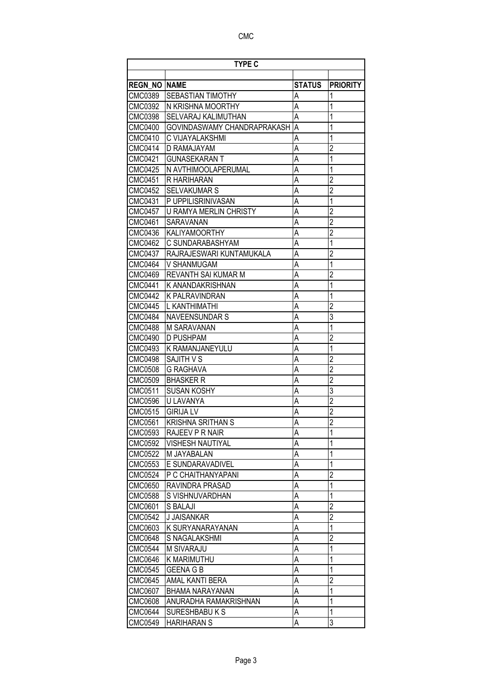| <b>TYPE C</b>        |                             |                |                 |
|----------------------|-----------------------------|----------------|-----------------|
|                      |                             |                |                 |
| <b>REGN_NO  NAME</b> |                             | <b>STATUS</b>  | <b>PRIORITY</b> |
| CMC0389              | SEBASTIAN TIMOTHY           | A              | 1               |
| CMC0392              | N KRISHNA MOORTHY           | А              | 1               |
| CMC0398              | SELVARAJ KALIMUTHAN         | A              | 1               |
| <b>CMC0400</b>       | GOVINDASWAMY CHANDRAPRAKASH | A              | 1               |
| CMC0410              | C VIJAYALAKSHMI             | A              | 1               |
| CMC0414              | D RAMAJAYAM                 | A              | $\overline{c}$  |
| CMC0421              | <b>GUNASEKARAN T</b>        | A              | $\mathbf 1$     |
| <b>CMC0425</b>       | N AVTHIMOOLAPERUMAL         | Ā              | 1               |
| <b>CMC0451</b>       | R HARIHARAN                 | A              | $\overline{c}$  |
| <b>CMC0452</b>       | <b>SELVAKUMAR S</b>         | A              | $\overline{2}$  |
| CMC0431              | P UPPILISRINIVASAN          | A              | 1               |
| <b>CMC0457</b>       | U RAMYA MERLIN CHRISTY      | Ā              | $\overline{2}$  |
| CMC0461              | SARAVANAN                   | A              | $\overline{2}$  |
| CMC0436              | <b>KALIYAMOORTHY</b>        | A              | $\overline{2}$  |
| CMC0462              | C SUNDARABASHYAM            | A              | 1               |
| CMC0437              | RAJRAJESWARI KUNTAMUKALA    | A              | $\overline{2}$  |
| CMC0464              | V SHANMUGAM                 | A              | $\overline{1}$  |
| CMC0469              | REVANTH SAI KUMAR M         | A              | $\overline{2}$  |
| CMC0441              | K ANANDAKRISHNAN            | A              | 1               |
| <b>CMC0442</b>       | <b>K PALRAVINDRAN</b>       | A              | 1               |
| CMC0445              | L KANTHIMATHI               | A              | $\overline{c}$  |
| CMC0484              | <b>NAVEENSUNDAR S</b>       | A              | 3               |
| CMC0488              | <b>M SARAVANAN</b>          | A              | $\overline{1}$  |
| <b>CMC0490</b>       | <b>D PUSHPAM</b>            | A              | $\overline{2}$  |
| <b>CMC0493</b>       | K RAMANJANEYULU             | A              | $\overline{1}$  |
| <b>CMC0498</b>       | SAJITH V S                  | A              | $\overline{2}$  |
| <b>CMC0508</b>       | <b>G RAGHAVA</b>            | A              | $\overline{c}$  |
| CMC0509              | <b>BHASKER R</b>            | A              | $\overline{2}$  |
| <b>CMC0511</b>       | <b>SUSAN KOSHY</b>          | A              | $\overline{3}$  |
| CMC0596              | U LAVANYA                   | A              | $\overline{2}$  |
| CMC0515              | <b>GIRIJA LV</b>            | A              | $\overline{2}$  |
| CMC0561              | <b>KRISHNA SRITHAN S</b>    | A              | $\overline{2}$  |
| CMC0593              | RAJEEV P R NAIR             | Α              | 1               |
| <b>CMC0592</b>       | <b>VISHESH NAUTIYAL</b>     | A              | 1               |
| CMC0522              | M JAYABALAN                 | A              | 1               |
| CMC0553              | E SUNDARAVADIVEL            | A              | 1               |
| CMC0524              | P C CHAITHANYAPANI          | $\overline{A}$ | $\overline{c}$  |
| CMC0650              | RAVINDRA PRASAD             | А              | 1               |
| CMC0588              | S VISHNUVARDHAN             | Α              | 1               |
| CMC0601              | S BALAJI                    | A              | $\overline{c}$  |
| <b>CMC0542</b>       | <b>J JAISANKAR</b>          | A              | $\overline{2}$  |
| CMC0603              | K SURYANARAYANAN            | A              | 1               |
| <b>CMC0648</b>       | S NAGALAKSHMI               | A              | $\overline{2}$  |
| <b>CMC0544</b>       | M SIVARAJU                  | A              | 1               |
| <b>CMC0646</b>       | K MARIMUTHU                 | A              | 1               |
| CMC0545              | <b>GEENA G B</b>            | A              | 1               |
| CMC0645              | AMAL KANTI BERA             | А              | $\overline{2}$  |
| CMC0607              | BHAMA NARAYANAN             | A              | 1               |
| <b>CMC0608</b>       | ANURADHA RAMAKRISHNAN       | A              | 1               |
| <b>CMC0644</b>       | <b>SURESHBABU K S</b>       | A              | $\mathbf{1}$    |
| <b>CMC0549</b>       | <b>HARIHARAN S</b>          | A              | 3               |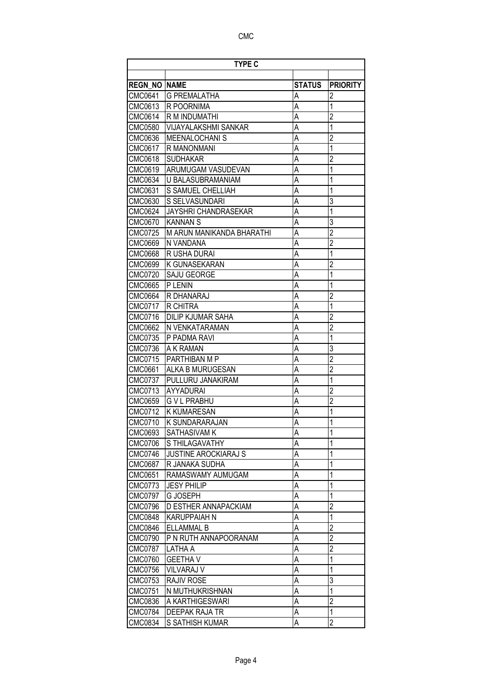|                     | <b>TYPE C</b>               |               |                 |  |
|---------------------|-----------------------------|---------------|-----------------|--|
|                     |                             |               |                 |  |
| <b>REGN NO NAME</b> |                             | <b>STATUS</b> | <b>PRIORITY</b> |  |
| CMC0641             | <b>G PREMALATHA</b>         | Α             | $\mathfrak{p}$  |  |
| CMC0613             | R POORNIMA                  | A             | 1               |  |
| CMC0614             | R M INDUMATHI               | A             | $\overline{2}$  |  |
| CMC0580             | <b>VIJAYALAKSHMI SANKAR</b> | A             | 1               |  |
| CMC0636             | <b>MEENALOCHANI S</b>       | A             | $\overline{2}$  |  |
| CMC0617             | <b>R MANONMANI</b>          | A             | 1               |  |
| CMC0618             | <b>SUDHAKAR</b>             | A             | $\overline{2}$  |  |
| CMC0619             | ARUMUGAM VASUDEVAN          | A             | 1               |  |
| CMC0634             | U BALASUBRAMANIAM           | A             | 1               |  |
| CMC0631             | <b>S SAMUEL CHELLIAH</b>    | A             | 1               |  |
| CMC0630             | S SELVASUNDARI              | A             | 3               |  |
| CMC0624             | JAYSHRI CHANDRASEKAR        | A             | $\overline{1}$  |  |
| CMC0670             | <b>KANNAN S</b>             | A             | 3               |  |
| CMC0725             | M ARUN MANIKANDA BHARATHI   | A             | $\overline{2}$  |  |
| CMC0669             | N VANDANA                   | A             | $\overline{2}$  |  |
| <b>CMC0668</b>      | R USHA DURAI                | A             | $\overline{1}$  |  |
| CMC0699             | K GUNASEKARAN               | A             | $\overline{2}$  |  |
| CMC0720             | SAJU GEORGE                 | A             | 1               |  |
| CMC0665             | P LENIN                     | A             | 1               |  |
| CMC0664             | R DHANARAJ                  | A             | $\overline{c}$  |  |
| CMC0717             | R CHITRA                    | A             | 1               |  |
| CMC0716             | <b>DILIP KJUMAR SAHA</b>    | A             | $\overline{c}$  |  |
| CMC0662             | N VENKATARAMAN              | A             | $\overline{2}$  |  |
| CMC0735             | P PADMA RAVI                | A             | $\overline{1}$  |  |
| CMC0736             | A K RAMAN                   | A             | 3               |  |
| CMC0715             | PARTHIBAN M P               | A             | $\overline{2}$  |  |
| CMC0661             | ALKA B MURUGESAN            | A             | $\overline{2}$  |  |
| CMC0737             | PULLURU JANAKIRAM           | A             | $\overline{1}$  |  |
| CMC0713             | AYYADURAI                   | A             | $\overline{c}$  |  |
| CMC0659             | G V L PRABHU                | A             | $\overline{2}$  |  |
| CMC0712             | <b>K KUMARESAN</b>          | A             | 1               |  |
| CMC0710             | K SUNDARARAJAN              | А             | 1               |  |
| CMC0693             | <b>SATHASIVAM K</b>         | Α             | 1               |  |
| <b>CMC0706</b>      | S THILAGAVATHY              | A             | 1               |  |
| <b>CMC0746</b>      | <b>JUSTINE AROCKIARAJ S</b> | A             | 1               |  |
| <b>CMC0687</b>      | R JANAKA SUDHA              | A             | 1               |  |
| CMC0651             | RAMASWAMY AUMUGAM           | A             | 1               |  |
| CMC0773             | <b>JESY PHILIP</b>          | Α             | $\mathbf 1$     |  |
| <b>CMC0797</b>      | <b>G JOSEPH</b>             | A             | 1               |  |
| <b>CMC0796</b>      | D ESTHER ANNAPACKIAM        | A             | $\overline{2}$  |  |
| <b>CMC0848</b>      | <b>KARUPPAIAH N</b>         | A             | 1               |  |
| <b>CMC0846</b>      | <b>ELLAMMAL B</b>           | A             | $\overline{c}$  |  |
| <b>CMC0790</b>      | P N RUTH ANNAPOORANAM       | A             | $\overline{2}$  |  |
| <b>CMC0787</b>      | LATHA A                     | A             | $\overline{2}$  |  |
| <b>CMC0760</b>      | <b>GEETHA V</b>             | A             | $\overline{1}$  |  |
| <b>CMC0756</b>      | VILVARAJ V                  | А             | 1               |  |
| CMC0753             | RAJIV ROSE                  | A             | 3               |  |
| CMC0751             | N MUTHUKRISHNAN             | A             | 1               |  |
| CMC0836             | A KARTHIGESWARI             | A             | $\overline{c}$  |  |
| <b>CMC0784</b>      | DEEPAK RAJA TR              | A             | $\mathbf{1}$    |  |
| CMC0834             | S SATHISH KUMAR             | A             | $\overline{2}$  |  |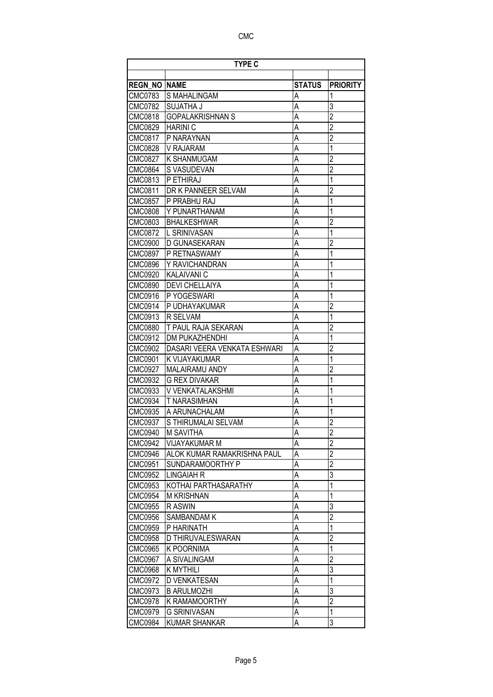| <b>TYPE C</b>       |                              |                |                 |
|---------------------|------------------------------|----------------|-----------------|
|                     |                              |                |                 |
| <b>REGN NO NAME</b> |                              | <b>STATUS</b>  | <b>PRIORITY</b> |
| CMC0783             | S MAHALINGAM                 | Α              | 1               |
| CMC0782             | <b>SUJATHA J</b>             | Α              | 3               |
| CMC0818             | <b>GOPALAKRISHNAN S</b>      | A              | $\overline{2}$  |
| CMC0829             | <b>HARINI C</b>              | A              | $\overline{2}$  |
| CMC0817             | P NARAYNAN                   | A              | $\overline{2}$  |
| CMC0828             | V RAJARAM                    | A              | $\mathbf{1}$    |
| CMC0827             | IK SHANMUGAM                 | A              | $\overline{c}$  |
| CMC0864             | S VASUDEVAN                  | A              | $\overline{2}$  |
| CMC0813             | <b>P ETHIRAJ</b>             | A              | $\mathbf{1}$    |
| CMC0811             | DR K PANNEER SELVAM          | A              | $\overline{2}$  |
| CMC0857             | P PRABHU RAJ                 | A              | 1               |
| <b>CMC0808</b>      | Y PUNARTHANAM                | A              | $\overline{1}$  |
| CMC0803             | <b>BHALKESHWAR</b>           | A              | $\overline{c}$  |
| CMC0872             | L SRINIVASAN                 | A              | $\overline{1}$  |
| CMC0900             | <b>D GUNASEKARAN</b>         | A              | $\overline{2}$  |
| CMC0897             | <b>IP RETNASWAMY</b>         | A              | $\overline{1}$  |
| CMC0896             | Y RAVICHANDRAN               | A              | 1               |
| CMC0920             | <b>KALAIVANI C</b>           | A              | 1               |
| CMC0890             | <b>DEVI CHELLAIYA</b>        | A              | 1               |
| CMC0916             | P YOGESWARI                  | A              | 1               |
| CMC0914             | P UDHAYAKUMAR                | A              | $\overline{2}$  |
| CMC0913             | <b>R SELVAM</b>              | A              | 1               |
| <b>CMC0880</b>      | T PAUL RAJA SEKARAN          | A              | $\overline{2}$  |
| CMC0912             | <b>DM PUKAZHENDHI</b>        | A              | $\overline{1}$  |
| CMC0902             | DASARI VEERA VENKATA ESHWARI | A              | $\overline{2}$  |
| CMC0901             | <b>K VIJAYAKUMAR</b>         | A              | $\mathbf 1$     |
| CMC0927             | <b>MALAIRAMU ANDY</b>        | A              | $\overline{c}$  |
| CMC0932             | <b>G REX DIVAKAR</b>         | A              | $\overline{1}$  |
| CMC0933             | V VENKATALAKSHMI             | A              | 1               |
| CMC0934             | <b>T NARASIMHAN</b>          | А              | $\mathbf{1}$    |
| CMC0935             | A ARUNACHALAM                | A              | 1               |
| CMC0937             | S THIRUMALAI SELVAM          | Α              | $\overline{c}$  |
| CMC0940             | M SAVITHA                    | Α              | $\overline{c}$  |
| <b>CMC0942</b>      | <b>VIJAYAKUMAR M</b>         | A              | $\overline{2}$  |
| <b>CMC0946</b>      | ALOK KUMAR RAMAKRISHNA PAUL  | A              | $\overline{2}$  |
| <b>CMC0951</b>      | SUNDARAMOORTHY P             | A              | $\overline{2}$  |
| CMC0952             | <b>LINGAIAH R</b>            | $\overline{A}$ | $\overline{3}$  |
| CMC0953             | KOTHAI PARTHASARATHY         | A              | $\overline{1}$  |
| CMC0954             | <b>M KRISHNAN</b>            | А              | 1               |
| <b>CMC0955</b>      | R ASWIN                      | A              | 3               |
| CMC0956             | SAMBANDAM K                  | A              | $\overline{2}$  |
| CMC0959             | P HARINATH                   | A              | 1               |
| <b>CMC0958</b>      | D THIRUVALESWARAN            | A              | $\overline{2}$  |
| CMC0965             | <b>K POORNIMA</b>            | A              | $\overline{1}$  |
| CMC0967             | A SIVALINGAM                 | A              | $\overline{2}$  |
| <b>CMC0968</b>      | <b>K MYTHILI</b>             | A              | 3               |
| CMC0972             | <b>D VENKATESAN</b>          | A              | $\mathbf{1}$    |
| CMC0973             | <b>B ARULMOZHI</b>           | A              | 3               |
| <b>CMC0978</b>      | K RAMAMOORTHY                | A              | $\overline{2}$  |
| CMC0979             | <b>G SRINIVASAN</b>          | A              | $\mathbf{1}$    |
| CMC0984             | <b>KUMAR SHANKAR</b>         | A              | 3               |